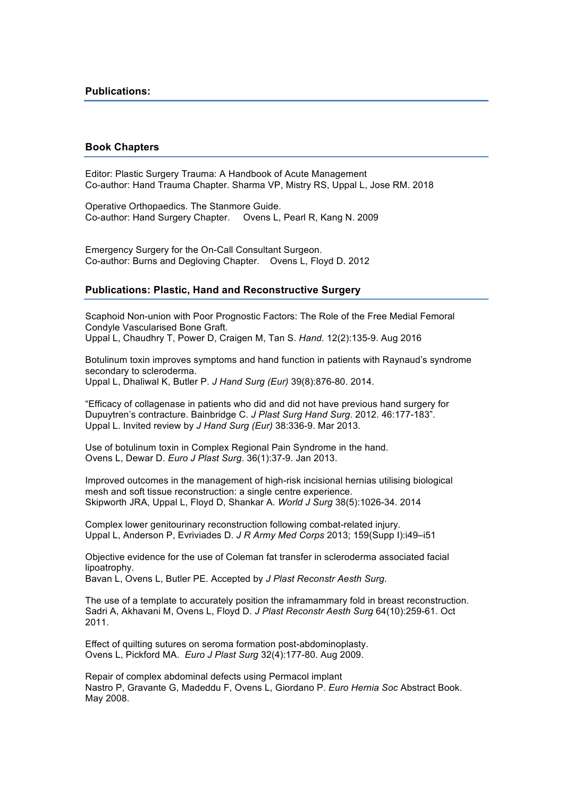## **Book Chapters**

Editor: Plastic Surgery Trauma: A Handbook of Acute Management Co-author: Hand Trauma Chapter. Sharma VP, Mistry RS, Uppal L, Jose RM. 2018

Operative Orthopaedics. The Stanmore Guide. Co-author: Hand Surgery Chapter. Ovens L, Pearl R, Kang N. 2009

Emergency Surgery for the On-Call Consultant Surgeon. Co-author: Burns and Degloving Chapter. Ovens L, Floyd D. 2012

## **Publications: Plastic, Hand and Reconstructive Surgery**

Scaphoid Non-union with Poor Prognostic Factors: The Role of the Free Medial Femoral Condyle Vascularised Bone Graft. Uppal L, Chaudhry T, Power D, Craigen M, Tan S. *Hand.* 12(2):135-9. Aug 2016

Botulinum toxin improves symptoms and hand function in patients with Raynaud's syndrome secondary to scleroderma. Uppal L, Dhaliwal K, Butler P. *J Hand Surg (Eur)* 39(8):876-80. 2014.

"Efficacy of collagenase in patients who did and did not have previous hand surgery for Dupuytren's contracture. Bainbridge C. *J Plast Surg Hand Surg*. 2012. 46:177-183". Uppal L. Invited review by *J Hand Surg (Eur)* 38:336-9. Mar 2013.

Use of botulinum toxin in Complex Regional Pain Syndrome in the hand. Ovens L, Dewar D. *Euro J Plast Surg*. 36(1):37-9. Jan 2013.

Improved outcomes in the management of high-risk incisional hernias utilising biological mesh and soft tissue reconstruction: a single centre experience. Skipworth JRA, Uppal L, Floyd D, Shankar A. *World J Surg* 38(5):1026-34. 2014

Complex lower genitourinary reconstruction following combat-related injury. Uppal L, Anderson P, Evriviades D. *J R Army Med Corps* 2013; 159(Supp I):i49–i51

Objective evidence for the use of Coleman fat transfer in scleroderma associated facial lipoatrophy.

Bavan L, Ovens L, Butler PE. Accepted by *J Plast Reconstr Aesth Surg*.

The use of a template to accurately position the inframammary fold in breast reconstruction. Sadri A, Akhavani M, Ovens L, Floyd D. *J Plast Reconstr Aesth Surg* 64(10):259-61. Oct 2011.

Effect of quilting sutures on seroma formation post-abdominoplasty. Ovens L, Pickford MA. *Euro J Plast Surg* 32(4):177-80. Aug 2009.

Repair of complex abdominal defects using Permacol implant Nastro P, Gravante G, Madeddu F, Ovens L, Giordano P. *Euro Hernia Soc* Abstract Book. May 2008.